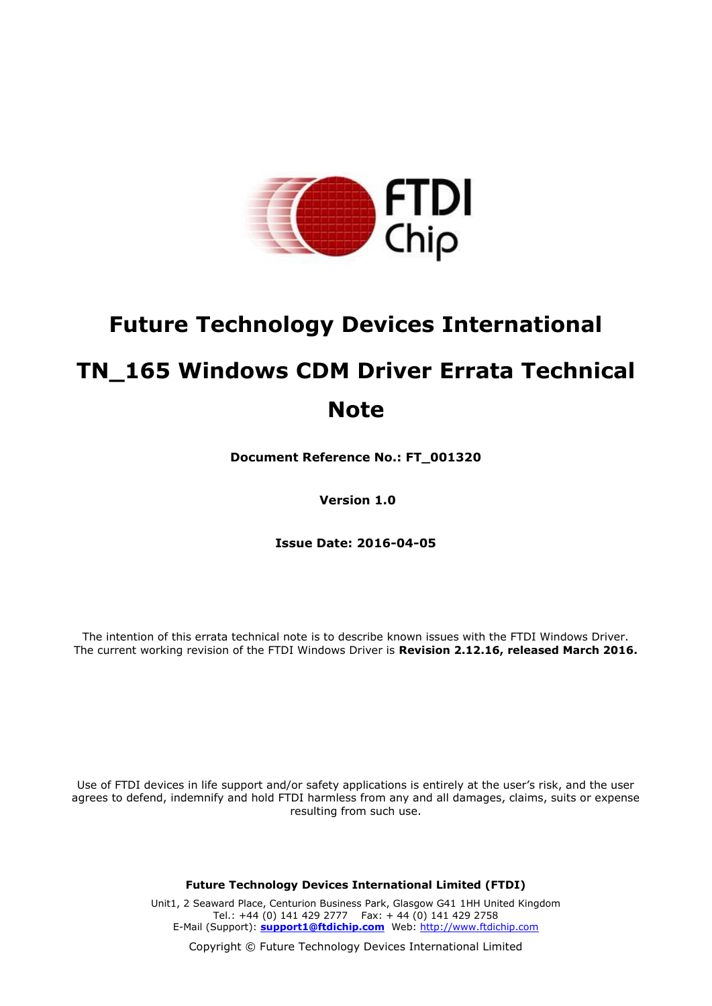

# **Future Technology Devices International TN\_165 Windows CDM Driver Errata Technical Note**

**Document Reference No.: FT\_001320**

**Version 1.0**

**Issue Date: 2016-04-05**

The intention of this errata technical note is to describe known issues with the FTDI Windows Driver. The current working revision of the FTDI Windows Driver is **Revision 2.12.16, released March 2016.**

Use of FTDI devices in life support and/or safety applications is entirely at the user's risk, and the user agrees to defend, indemnify and hold FTDI harmless from any and all damages, claims, suits or expense resulting from such use.

**Future Technology Devices International Limited (FTDI)**

Unit1, 2 Seaward Place, Centurion Business Park, Glasgow G41 1HH United Kingdom Tel.: +44 (0) 141 429 2777 Fax: + 44 (0) 141 429 2758 E-Mail (Support): **[support1@ftdichip.com](mailto:support1@ftdichip.com)** Web: [http://www.ftdichip.com](http://www.ftdichip.com/)

Copyright © Future Technology Devices International Limited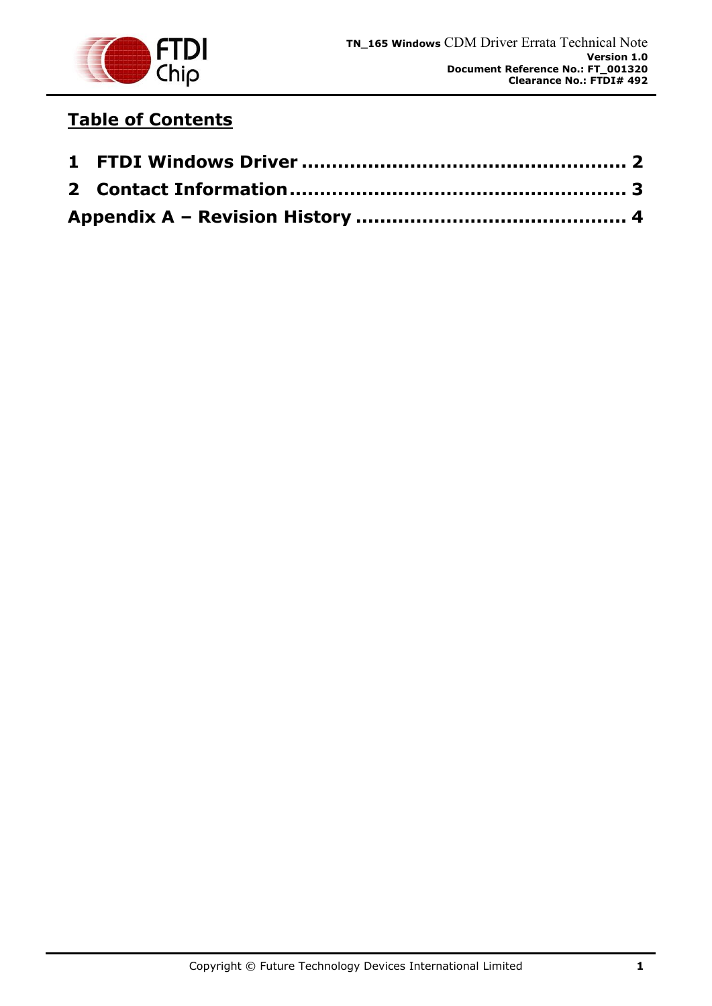

## **Table of Contents**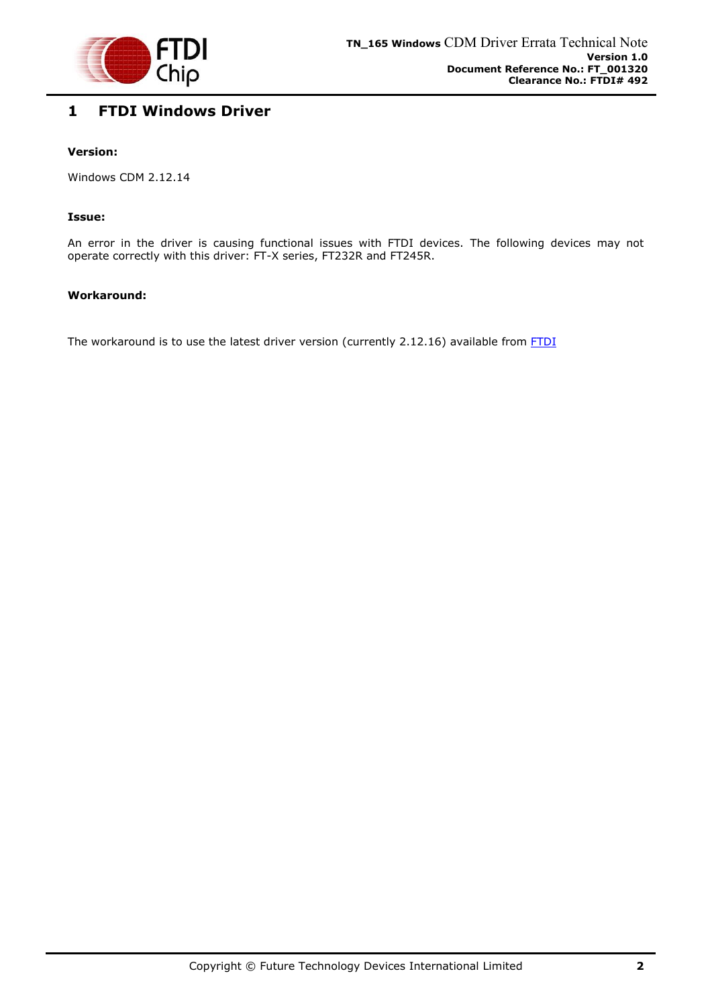

### <span id="page-2-0"></span>**1 FTDI Windows Driver**

#### **Version:**

Windows CDM 2.12.14

#### **Issue:**

An error in the driver is causing functional issues with FTDI devices. The following devices may not operate correctly with this driver: FT-X series, FT232R and FT245R.

#### **Workaround:**

The workaround is to use the latest driver version (currently 2.12.16) available from **FTDI**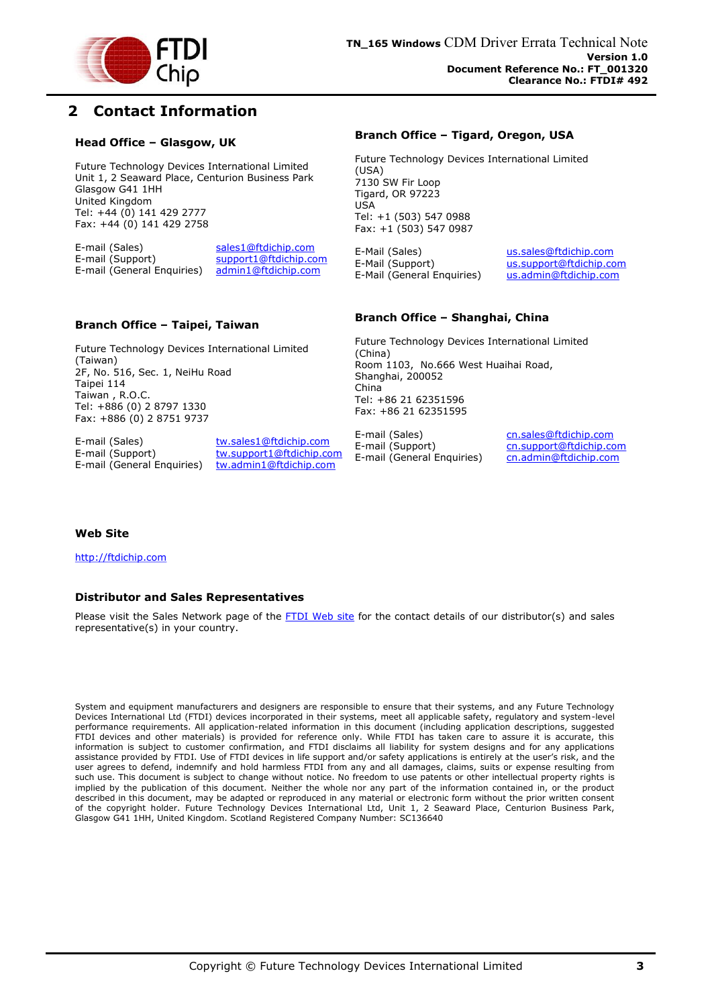

### <span id="page-3-0"></span>**2 Contact Information**

#### **Head Office – Glasgow, UK**

Future Technology Devices International Limited Unit 1, 2 Seaward Place, Centurion Business Park Glasgow G41 1HH United Kingdom Tel: +44 (0) 141 429 2777 Fax: +44 (0) 141 429 2758

E-mail (Sales) sales1@ftdichip.com<br>E-mail (Support) support1@ftdichip.com support1@ftdichip.com E-mail (General Enquiries) admin1@ftdichip.com

#### **Branch Office – Taipei, Taiwan**

Future Technology Devices International Limited (Taiwan) 2F, No. 516, Sec. 1, NeiHu Road Taipei 114 Taiwan , R.O.C. Tel: +886 (0) 2 8797 1330 Fax: +886 (0) 2 8751 9737

E-mail (Sales) tw.sales1@ftdichip.com<br>E-mail (Support) tw.support1@ftdichip.com E-mail (General Enquiries) tw.admin1@ftdichip.com

tw.support1@ftdichip.com

#### **Branch Office – Tigard, Oregon, USA**

Future Technology Devices International Limited (USA) 7130 SW Fir Loop Tigard, OR 97223 USA Tel: +1 (503) 547 0988 Fax: +1 (503) 547 0987

E-Mail (Sales) us.sales@ftdichip.com E-Mail (Support) us.support@ftdichip.com<br>E-Mail (General Enquiries) us.admin@ftdichip.com E-Mail (General Enquiries)

#### **Branch Office – Shanghai, China**

Future Technology Devices International Limited (China) Room 1103, No.666 West Huaihai Road, Shanghai, 200052 China Tel: +86 21 62351596 Fax: +86 21 62351595

E-mail (Sales) cn.sales@ftdichip.com E-mail (Support) cn.support@ftdichip.com E-mail (General Enquiries) cn.admin@ftdichip.com

#### **Web Site**

http://ftdichip.com

#### **Distributor and Sales Representatives**

Please visit the Sales Network page of the FTDI Web site for the contact details of our distributor(s) and sales representative(s) in your country.

System and equipment manufacturers and designers are responsible to ensure that their systems, and any Future Technology Devices International Ltd (FTDI) devices incorporated in their systems, meet all applicable safety, regulatory and system-level performance requirements. All application-related information in this document (including application descriptions, suggested FTDI devices and other materials) is provided for reference only. While FTDI has taken care to assure it is accurate, this information is subject to customer confirmation, and FTDI disclaims all liability for system designs and for any applications assistance provided by FTDI. Use of FTDI devices in life support and/or safety applications is entirely at the user's risk, and the user agrees to defend, indemnify and hold harmless FTDI from any and all damages, claims, suits or expense resulting from such use. This document is subject to change without notice. No freedom to use patents or other intellectual property rights is implied by the publication of this document. Neither the whole nor any part of the information contained in, or the product described in this document, may be adapted or reproduced in any material or electronic form without the prior written consent of the copyright holder. Future Technology Devices International Ltd, Unit 1, 2 Seaward Place, Centurion Business Park, Glasgow G41 1HH, United Kingdom. Scotland Registered Company Number: SC136640